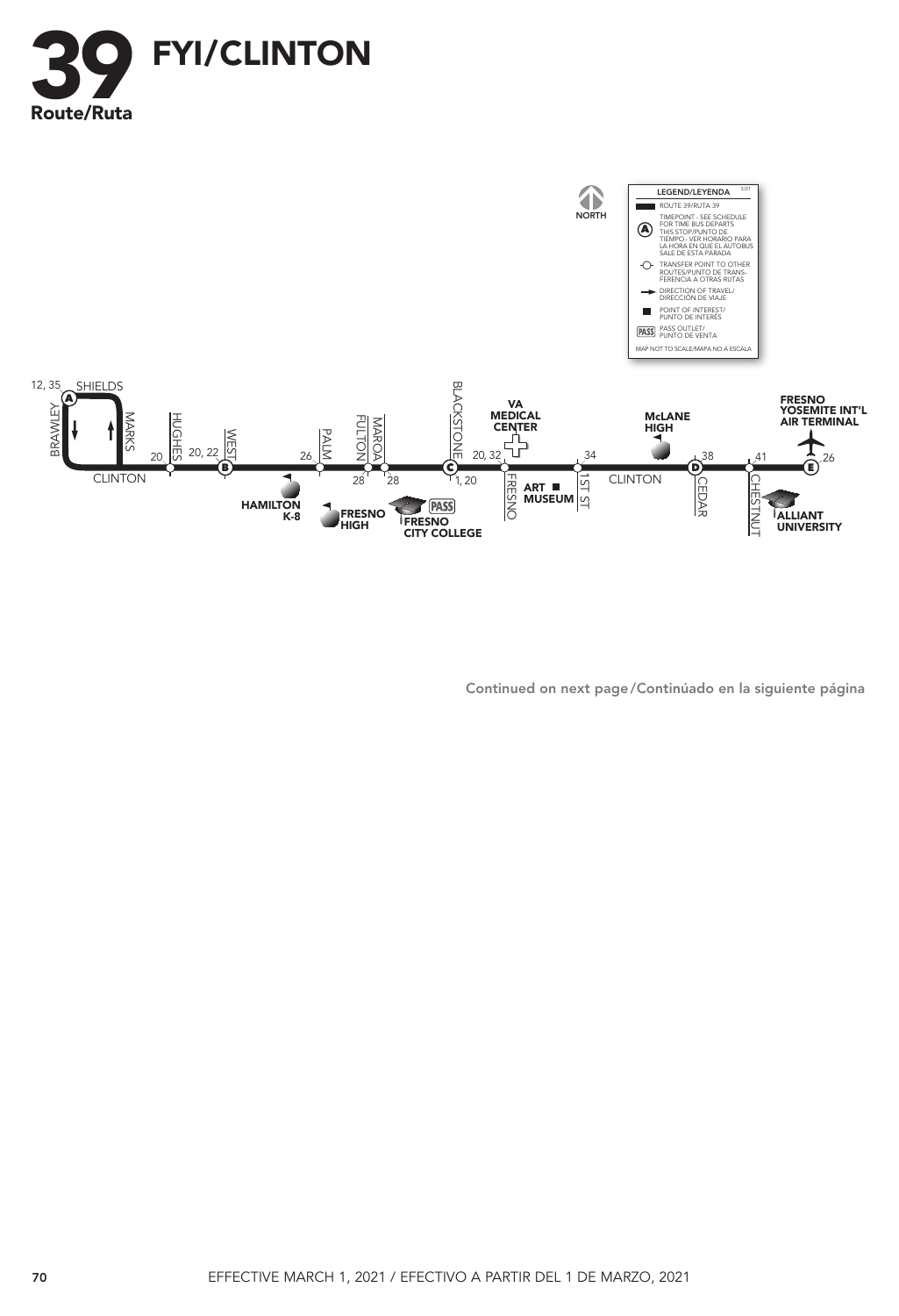



Continued on next page / Continúado en la siguiente página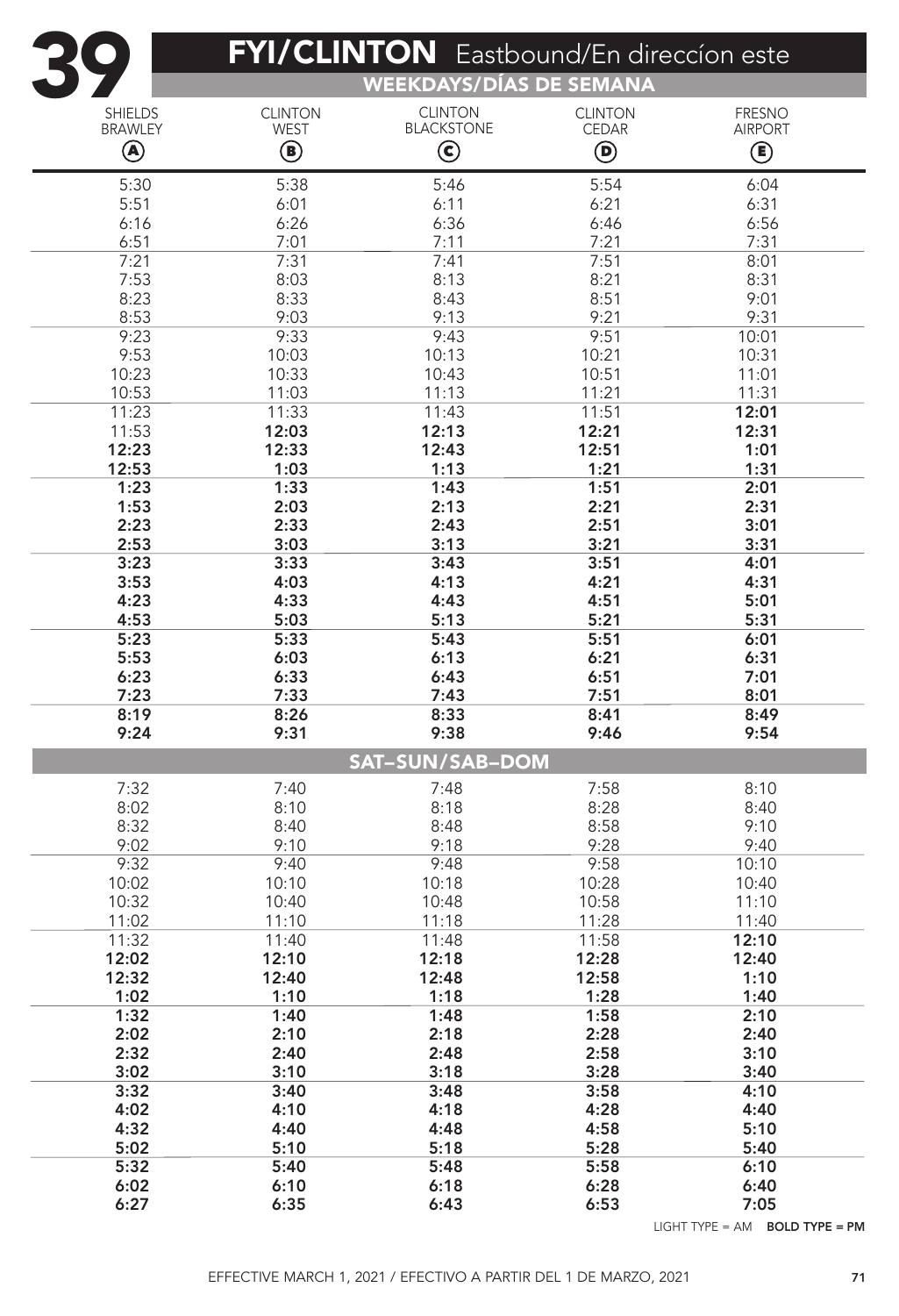| $\bullet$              | <b>FYI/CLINTON</b> Eastbound/En direccion este<br><b>WEEKDAYS/DÍAS DE SEMANA</b> |                       |                |                |  |  |
|------------------------|----------------------------------------------------------------------------------|-----------------------|----------------|----------------|--|--|
| <b>SHIELDS</b>         | <b>CLINTON</b>                                                                   | <b>CLINTON</b>        | <b>CLINTON</b> | <b>FRESNO</b>  |  |  |
| <b>BRAWLEY</b>         | <b>WEST</b>                                                                      | <b>BLACKSTONE</b>     | <b>CEDAR</b>   | <b>AIRPORT</b> |  |  |
| $\circledast$          | $\textcircled{\scriptsize{\textsf{B}}}$                                          | $\bm{\mathsf{\odot}}$ | $\bf \Theta$   | ◉              |  |  |
| 5:30                   | 5:38                                                                             | 5:46                  | 5:54           | 6:04           |  |  |
| 5:51                   | 6:01                                                                             | 6:11                  | 6:21           | 6:31           |  |  |
| 6:16<br>6:51           | 6:26<br>7:01                                                                     | 6:36<br>7:11          | 6:46<br>7:21   | 6:56<br>7:31   |  |  |
| 7:21                   | 7:31                                                                             | 7:41                  | 7:51           | 8:01           |  |  |
| 7:53                   | 8:03                                                                             | 8:13                  | 8:21           | 8:31           |  |  |
| 8:23                   | 8:33                                                                             | 8:43                  | 8:51           | 9:01           |  |  |
| 8:53                   | 9:03                                                                             | 9:13                  | 9:21           | 9:31           |  |  |
| 9:23<br>9:53           | 9:33<br>10:03                                                                    | 9:43<br>10:13         | 9:51<br>10:21  | 10:01<br>10:31 |  |  |
| 10:23                  | 10:33                                                                            | 10:43                 | 10:51          | 11:01          |  |  |
| 10:53                  | 11:03                                                                            | 11:13                 | 11:21          | 11:31          |  |  |
| 11:23                  | 11:33                                                                            | 11:43                 | 11:51          | 12:01          |  |  |
| 11:53                  | 12:03                                                                            | 12:13                 | 12:21          | 12:31          |  |  |
| 12:23<br>12:53         | 12:33<br>1:03                                                                    | 12:43                 | 12:51<br>1:21  | 1:01<br>1:31   |  |  |
| 1:23                   | 1:33                                                                             | 1:13<br>1:43          | 1:51           | 2:01           |  |  |
| 1:53                   | 2:03                                                                             | 2:13                  | 2:21           | 2:31           |  |  |
| 2:23                   | 2:33                                                                             | 2:43                  | 2:51           | 3:01           |  |  |
| 2:53                   | 3:03                                                                             | 3:13                  | 3:21           | 3:31           |  |  |
| 3:23                   | 3:33                                                                             | 3:43                  | 3:51           | 4:01           |  |  |
| 3:53<br>4:23           | 4:03<br>4:33                                                                     | 4:13<br>4:43          | 4:21<br>4:51   | 4:31<br>5:01   |  |  |
| 4:53                   | 5:03                                                                             | 5:13                  | 5:21           | 5:31           |  |  |
| 5:23                   | 5:33                                                                             | 5:43                  | 5:51           | 6:01           |  |  |
| 5:53                   | 6:03                                                                             | 6:13                  | 6:21           | 6:31           |  |  |
| 6:23                   | 6:33                                                                             | 6:43                  | 6:51           | 7:01           |  |  |
| 7:23<br>8:19           | 7:33<br>8:26                                                                     | 7:43<br>8:33          | 7:51<br>8:41   | 8:01<br>8:49   |  |  |
| 9:24                   | 9:31                                                                             | 9:38                  | 9:46           | 9:54           |  |  |
| <b>SAT-SUN/SAB-DOM</b> |                                                                                  |                       |                |                |  |  |
| 7:32                   | 7:40                                                                             | 7:48                  | 7:58           | 8:10           |  |  |
| 8:02                   | 8:10                                                                             | 8:18                  | 8:28           | 8:40           |  |  |
| 8:32                   | 8:40                                                                             | 8:48                  | 8:58           | 9:10           |  |  |
| 9:02<br>9:32           | 9:10<br>9:40                                                                     | 9:18<br>9:48          | 9:28<br>9:58   | 9:40<br>10:10  |  |  |
| 10:02                  | 10:10                                                                            | 10:18                 | 10:28          | 10:40          |  |  |
| 10:32                  | 10:40                                                                            | 10:48                 | 10:58          | 11:10          |  |  |
| 11:02                  | 11:10                                                                            | 11:18                 | 11:28          | 11:40          |  |  |
| 11:32                  | 11:40                                                                            | 11:48                 | 11:58          | 12:10          |  |  |
| 12:02                  | 12:10                                                                            | 12:18                 | 12:28          | 12:40          |  |  |
| 12:32<br>1:02          | 12:40<br>1:10                                                                    | 12:48<br>1:18         | 12:58<br>1:28  | 1:10<br>1:40   |  |  |
| 1:32                   | 1:40                                                                             | 1:48                  | 1:58           | 2:10           |  |  |
| 2:02                   | 2:10                                                                             | 2:18                  | 2:28           | 2:40           |  |  |
| 2:32                   | 2:40                                                                             | 2:48                  | 2:58           | 3:10           |  |  |
| 3:02                   | 3:10                                                                             | 3:18                  | 3:28           | 3:40           |  |  |
| 3:32                   | 3:40                                                                             | 3:48                  | 3:58           | 4:10           |  |  |
| 4:02<br>4:32           | 4:10<br>4:40                                                                     | 4:18<br>4:48          | 4:28<br>4:58   | 4:40<br>5:10   |  |  |
| 5:02                   | 5:10                                                                             | 5:18                  | 5:28           | 5:40           |  |  |
| 5:32                   | 5:40                                                                             | 5:48                  | 5:58           | 6:10           |  |  |
| 6:02                   | 6:10                                                                             | 6:18                  | 6:28           | 6:40           |  |  |
| 6:27                   | 6:35                                                                             | 6:43                  | 6:53           | 7:05           |  |  |

LIGHT TYPE = AM BOLD TYPE = PM